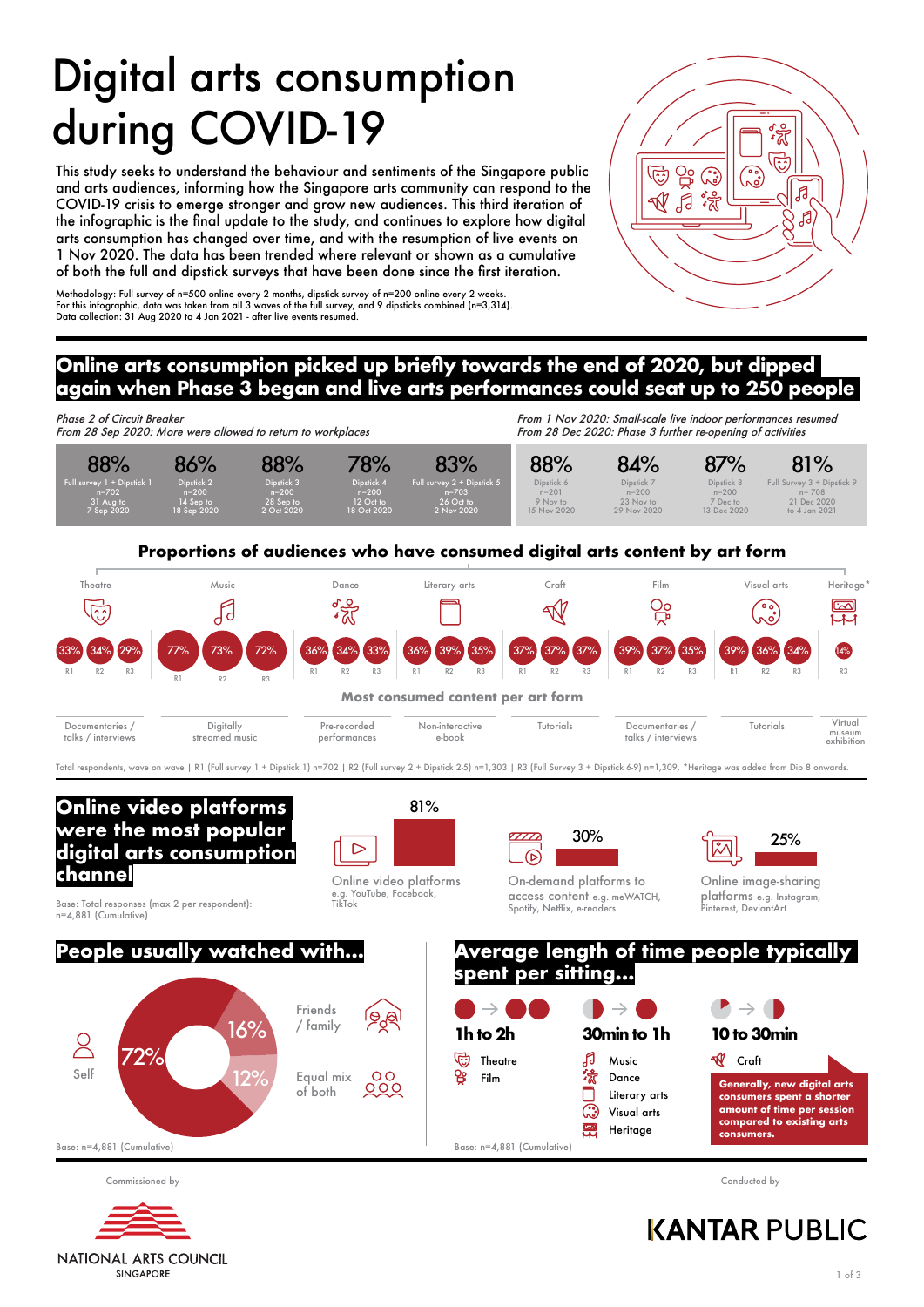# Digital arts consumption during COVID-19

This study seeks to understand the behaviour and sentiments of the Singapore public and arts audiences, informing how the Singapore arts community can respond to the COVID-19 crisis to emerge stronger and grow new audiences. This third iteration of the infographic is the final update to the study, and continues to explore how digital arts consumption has changed over time, and with the resumption of live events on 1 Nov 2020. The data has been trended where relevant or shown as a cumulative of both the full and dipstick surveys that have been done since the first iteration.

Methodology: Full survey of n=500 online every 2 months, dipstick survey of n=200 online every 2 weeks. For this infographic, data was taken from all 3 waves of the full survey, and 9 dipsticks combined (n=3,314). Data collection: 31 Aug 2020 to 4 Jan 2021 - after live events resumed.



# **Online arts consumption picked up briefly towards the end of 2020, but dipped again when Phase 3 began and live arts performances could seat up to 250 people**



Base: n=4,881 (Cumulative)

Commissioned by Conducted by



# **KANTAR PUBLIC**

**NATIONAL ARTS COUNCIL SINGAPORE**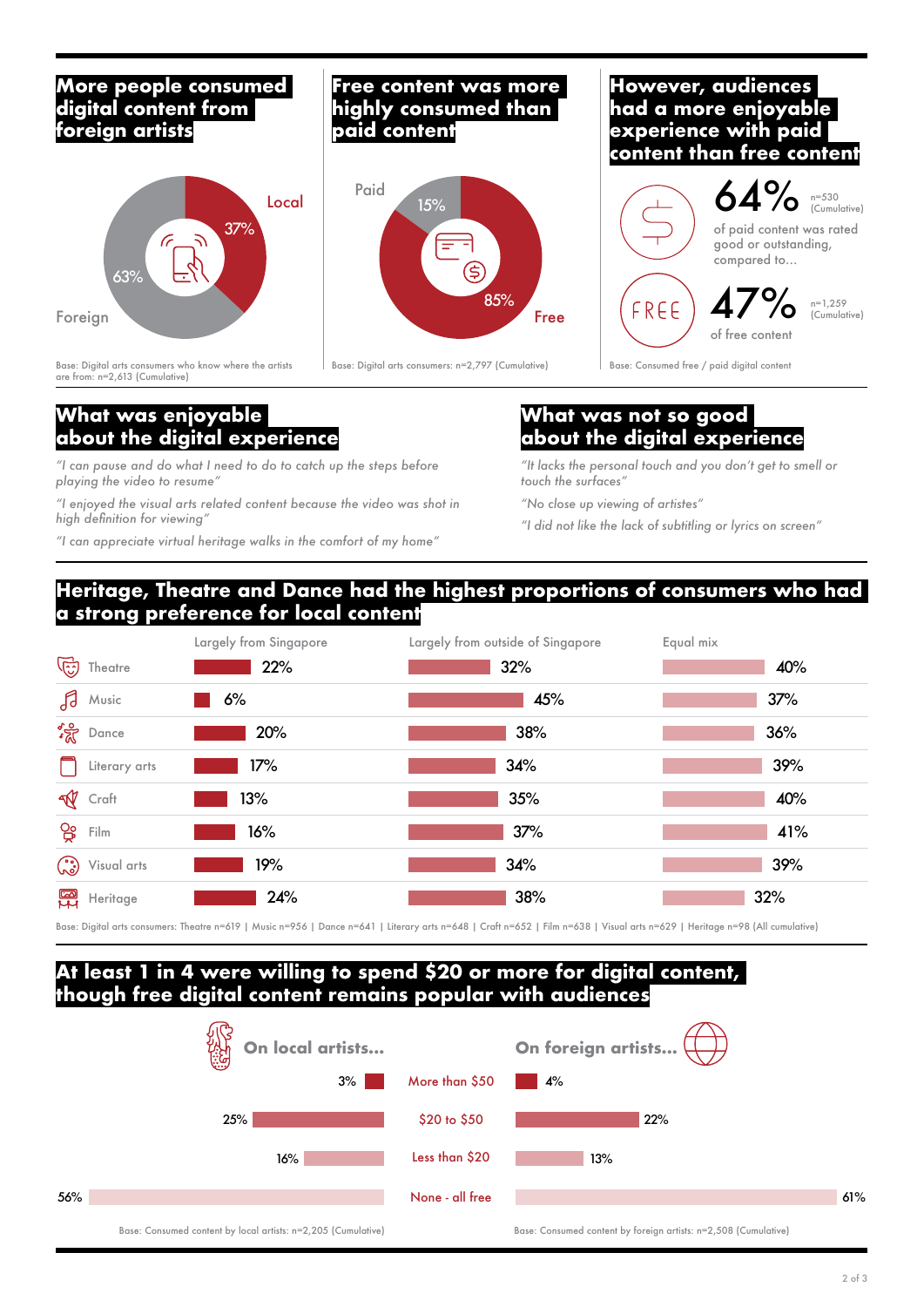#### **More people consumed digital content from foreign artists**



Base: Digital arts consumers who know where the artists are from: n=2,613 (Cumulative)

# **What was enjoyable about the digital experience**

*"I can pause and do what I need to do to catch up the steps before playing the video to resume"*

*"I enjoyed the visual arts related content because the video was shot in high definition for viewing"*

*"I can appreciate virtual heritage walks in the comfort of my home"*

#### **Free content was more highly consumed than paid content**



#### **However, audiences had a more enjoyable experience with paid content than free content**



Base: Digital arts consumers: n=2,797 (Cumulative) Base: Consumed free / paid digital content

#### **What was not so good about the digital experience**

*"It lacks the personal touch and you don't get to smell or touch the surfaces"*

*"No close up viewing of artistes"*

*"I did not like the lack of subtitling or lyrics on screen"*

## **Heritage, Theatre and Dance had the highest proportions of consumers who had a strong preference for local content**



Base: Digital arts consumers: Theatre n=619 | Music n=956 | Dance n=641 | Literary arts n=648 | Craft n=652 | Film n=638 | Visual arts n=629 | Heritage n=98 (All cumulative)

#### **At least 1 in 4 were willing to spend \$20 or more for digital content, though free digital content remains popular with audiences**